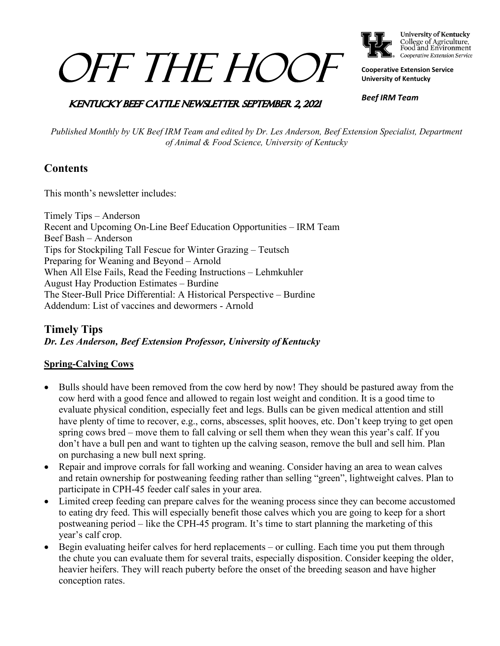# *OFF THE HOOL*



College of Agriculture,<br>Food and Environment Cooperative Extension Service

**Cooperative Extension Service University of Kentucky**

## **KENTUCKY BEEF CATTLE NEWSLETTER SEPTEMBER 2, 2021**

*Beef IRM Team*

*Published Monthly by UK Beef IRM Team and edited by Dr. Les Anderson, Beef Extension Specialist, Department of Animal & Food Science, University of Kentucky*

## **Contents**

This month's newsletter includes:

Timely Tips – Anderson Recent and Upcoming On-Line Beef Education Opportunities – IRM Team Beef Bash – Anderson Tips for Stockpiling Tall Fescue for Winter Grazing – Teutsch Preparing for Weaning and Beyond – Arnold When All Else Fails, Read the Feeding Instructions – Lehmkuhler August Hay Production Estimates – Burdine The Steer-Bull Price Differential: A Historical Perspective – Burdine Addendum: List of vaccines and dewormers - Arnold

## **Timely Tips** *Dr. Les Anderson, Beef Extension Professor, University of Kentucky*

## **Spring-Calving Cows**

- Bulls should have been removed from the cow herd by now! They should be pastured away from the cow herd with a good fence and allowed to regain lost weight and condition. It is a good time to evaluate physical condition, especially feet and legs. Bulls can be given medical attention and still have plenty of time to recover, e.g., corns, abscesses, split hooves, etc. Don't keep trying to get open spring cows bred – move them to fall calving or sell them when they wean this year's calf. If you don't have a bull pen and want to tighten up the calving season, remove the bull and sell him. Plan on purchasing a new bull next spring.
- Repair and improve corrals for fall working and weaning. Consider having an area to wean calves and retain ownership for postweaning feeding rather than selling "green", lightweight calves. Plan to participate in CPH-45 feeder calf sales in your area.
- Limited creep feeding can prepare calves for the weaning process since they can become accustomed to eating dry feed. This will especially benefit those calves which you are going to keep for a short postweaning period – like the CPH-45 program. It's time to start planning the marketing of this year's calf crop.
- Begin evaluating heifer calves for herd replacements or culling. Each time you put them through the chute you can evaluate them for several traits, especially disposition. Consider keeping the older, heavier heifers. They will reach puberty before the onset of the breeding season and have higher conception rates.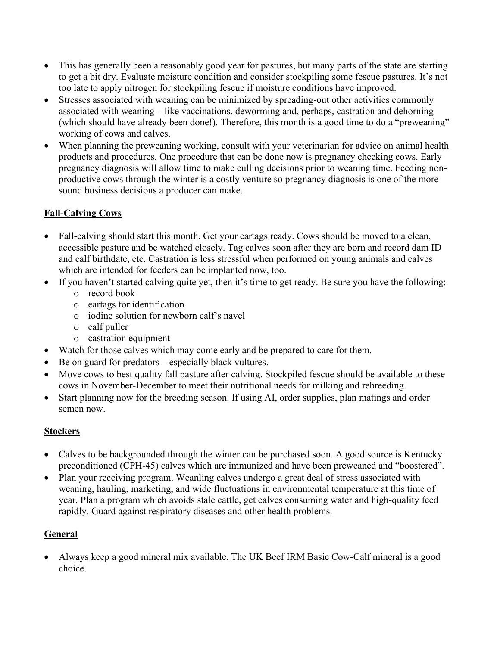- This has generally been a reasonably good year for pastures, but many parts of the state are starting to get a bit dry. Evaluate moisture condition and consider stockpiling some fescue pastures. It's not too late to apply nitrogen for stockpiling fescue if moisture conditions have improved.
- Stresses associated with weaning can be minimized by spreading-out other activities commonly associated with weaning – like vaccinations, deworming and, perhaps, castration and dehorning (which should have already been done!). Therefore, this month is a good time to do a "preweaning" working of cows and calves.
- When planning the preweaning working, consult with your veterinarian for advice on animal health products and procedures. One procedure that can be done now is pregnancy checking cows. Early pregnancy diagnosis will allow time to make culling decisions prior to weaning time. Feeding nonproductive cows through the winter is a costly venture so pregnancy diagnosis is one of the more sound business decisions a producer can make.

## **Fall-Calving Cows**

- Fall-calving should start this month. Get your eartags ready. Cows should be moved to a clean, accessible pasture and be watched closely. Tag calves soon after they are born and record dam ID and calf birthdate, etc. Castration is less stressful when performed on young animals and calves which are intended for feeders can be implanted now, too.
- If you haven't started calving quite yet, then it's time to get ready. Be sure you have the following:
	- o record book
	- o eartags for identification
	- o iodine solution for newborn calf's navel
	- o calf puller
	- o castration equipment
- Watch for those calves which may come early and be prepared to care for them.
- Be on guard for predators especially black vultures.
- Move cows to best quality fall pasture after calving. Stockpiled fescue should be available to these cows in November-December to meet their nutritional needs for milking and rebreeding.
- Start planning now for the breeding season. If using AI, order supplies, plan matings and order semen now.

## **Stockers**

- Calves to be backgrounded through the winter can be purchased soon. A good source is Kentucky preconditioned (CPH-45) calves which are immunized and have been preweaned and "boostered".
- Plan your receiving program. Weanling calves undergo a great deal of stress associated with weaning, hauling, marketing, and wide fluctuations in environmental temperature at this time of year. Plan a program which avoids stale cattle, get calves consuming water and high-quality feed rapidly. Guard against respiratory diseases and other health problems.

## **General**

• Always keep a good mineral mix available. The UK Beef IRM Basic Cow-Calf mineral is a good choice.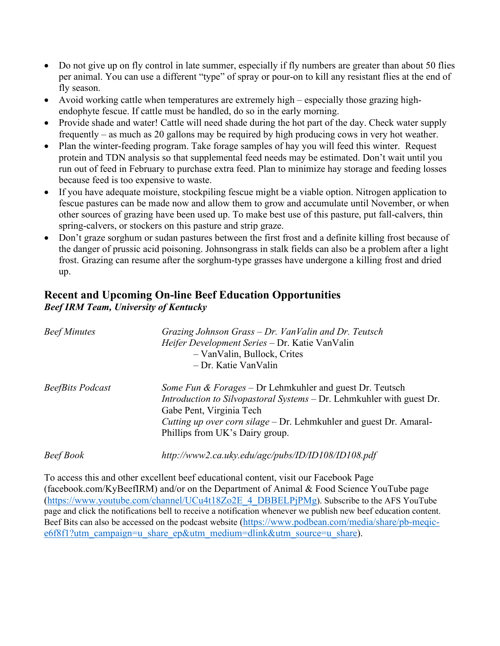- Do not give up on fly control in late summer, especially if fly numbers are greater than about 50 flies per animal. You can use a different "type" of spray or pour-on to kill any resistant flies at the end of fly season.
- Avoid working cattle when temperatures are extremely high especially those grazing highendophyte fescue. If cattle must be handled, do so in the early morning.
- Provide shade and water! Cattle will need shade during the hot part of the day. Check water supply frequently – as much as 20 gallons may be required by high producing cows in very hot weather.
- Plan the winter-feeding program. Take forage samples of hay you will feed this winter. Request protein and TDN analysis so that supplemental feed needs may be estimated. Don't wait until you run out of feed in February to purchase extra feed. Plan to minimize hay storage and feeding losses because feed is too expensive to waste.
- If you have adequate moisture, stockpiling fescue might be a viable option. Nitrogen application to fescue pastures can be made now and allow them to grow and accumulate until November, or when other sources of grazing have been used up. To make best use of this pasture, put fall-calvers, thin spring-calvers, or stockers on this pasture and strip graze.
- Don't graze sorghum or sudan pastures between the first frost and a definite killing frost because of the danger of prussic acid poisoning. Johnsongrass in stalk fields can also be a problem after a light frost. Grazing can resume after the sorghum-type grasses have undergone a killing frost and dried up.

## **Recent and Upcoming On-line Beef Education Opportunities** *Beef IRM Team, University of Kentucky*

| <b>Beef Minutes</b>     | Grazing Johnson Grass – Dr. VanValin and Dr. Teutsch<br>Heifer Development Series - Dr. Katie VanValin<br>- Van Valin, Bullock, Crites<br>- Dr. Katie VanValin                                                                                                                           |
|-------------------------|------------------------------------------------------------------------------------------------------------------------------------------------------------------------------------------------------------------------------------------------------------------------------------------|
| <b>BeefBits Podcast</b> | <i>Some Fun &amp; Forages</i> – Dr Lehmkuhler and guest Dr. Teutsch<br><i>Introduction to Silvopastoral Systems</i> – Dr. Lehmkuhler with guest Dr.<br>Gabe Pent, Virginia Tech<br>Cutting up over corn silage – Dr. Lehmkuhler and guest Dr. Amaral-<br>Phillips from UK's Dairy group. |
| Beef Book               | http://www2.ca.uky.edu/agc/pubs/ID/ID108/ID108.pdf                                                                                                                                                                                                                                       |

To access this and other excellent beef educational content, visit our Facebook Page (facebook.com/KyBeefIRM) and/or on the Department of Animal & Food Science YouTube page [\(https://www.youtube.com/channel/UCu4t18Zo2E\\_4\\_DBBELPjPMg\)](https://www.youtube.com/channel/UCu4t18Zo2E_4_DBBELPjPMg). Subscribe to the AFS YouTube page and click the notifications bell to receive a notification whenever we publish new beef education content. Beef Bits can also be accessed on the podcast website [\(https://www.podbean.com/media/share/pb-meqic](https://www.podbean.com/media/share/pb-meqic-e6f8f1?utm_campaign=u_share_ep&utm_medium=dlink&utm_source=u_share)[e6f8f1?utm\\_campaign=u\\_share\\_ep&utm\\_medium=dlink&utm\\_source=u\\_share\)](https://www.podbean.com/media/share/pb-meqic-e6f8f1?utm_campaign=u_share_ep&utm_medium=dlink&utm_source=u_share).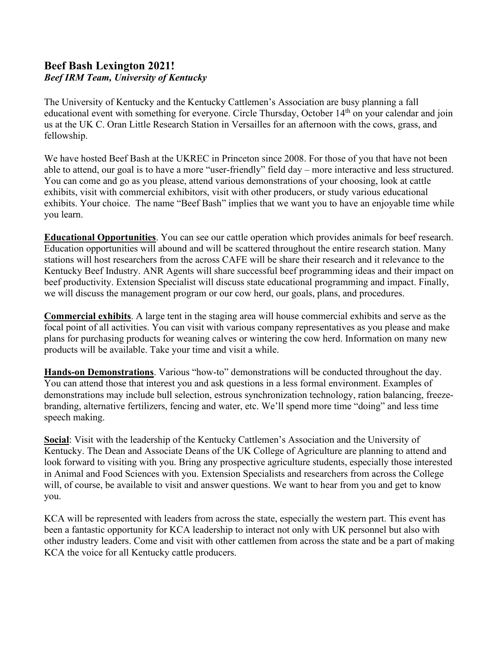## **Beef Bash Lexington 2021!** *Beef IRM Team, University of Kentucky*

The University of Kentucky and the Kentucky Cattlemen's Association are busy planning a fall educational event with something for everyone. Circle Thursday, October 14<sup>th</sup> on your calendar and join us at the UK C. Oran Little Research Station in Versailles for an afternoon with the cows, grass, and fellowship.

We have hosted Beef Bash at the UKREC in Princeton since 2008. For those of you that have not been able to attend, our goal is to have a more "user-friendly" field day – more interactive and less structured. You can come and go as you please, attend various demonstrations of your choosing, look at cattle exhibits, visit with commercial exhibitors, visit with other producers, or study various educational exhibits. Your choice. The name "Beef Bash" implies that we want you to have an enjoyable time while you learn.

**Educational Opportunities**. You can see our cattle operation which provides animals for beef research. Education opportunities will abound and will be scattered throughout the entire research station. Many stations will host researchers from the across CAFE will be share their research and it relevance to the Kentucky Beef Industry. ANR Agents will share successful beef programming ideas and their impact on beef productivity. Extension Specialist will discuss state educational programming and impact. Finally, we will discuss the management program or our cow herd, our goals, plans, and procedures.

**Commercial exhibits**. A large tent in the staging area will house commercial exhibits and serve as the focal point of all activities. You can visit with various company representatives as you please and make plans for purchasing products for weaning calves or wintering the cow herd. Information on many new products will be available. Take your time and visit a while.

**Hands-on Demonstrations**. Various "how-to" demonstrations will be conducted throughout the day. You can attend those that interest you and ask questions in a less formal environment. Examples of demonstrations may include bull selection, estrous synchronization technology, ration balancing, freezebranding, alternative fertilizers, fencing and water, etc. We'll spend more time "doing" and less time speech making.

**Social**: Visit with the leadership of the Kentucky Cattlemen's Association and the University of Kentucky. The Dean and Associate Deans of the UK College of Agriculture are planning to attend and look forward to visiting with you. Bring any prospective agriculture students, especially those interested in Animal and Food Sciences with you. Extension Specialists and researchers from across the College will, of course, be available to visit and answer questions. We want to hear from you and get to know you.

KCA will be represented with leaders from across the state, especially the western part. This event has been a fantastic opportunity for KCA leadership to interact not only with UK personnel but also with other industry leaders. Come and visit with other cattlemen from across the state and be a part of making KCA the voice for all Kentucky cattle producers.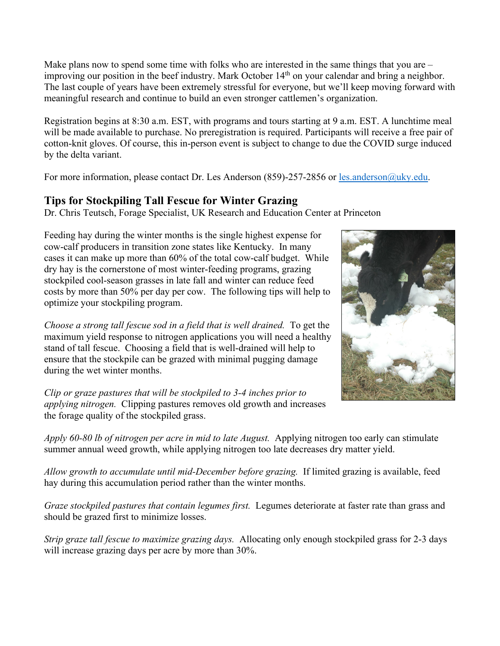Make plans now to spend some time with folks who are interested in the same things that you are – improving our position in the beef industry. Mark October 14<sup>th</sup> on your calendar and bring a neighbor. The last couple of years have been extremely stressful for everyone, but we'll keep moving forward with meaningful research and continue to build an even stronger cattlemen's organization.

Registration begins at 8:30 a.m. EST, with programs and tours starting at 9 a.m. EST. A lunchtime meal will be made available to purchase. No preregistration is required. Participants will receive a free pair of cotton-knit gloves. Of course, this in-person event is subject to change to due the COVID surge induced by the delta variant.

For more information, please contact Dr. Les Anderson (859)-257-2856 or les anderson @uky.edu.

## **Tips for Stockpiling Tall Fescue for Winter Grazing**

Dr. Chris Teutsch, Forage Specialist, UK Research and Education Center at Princeton

Feeding hay during the winter months is the single highest expense for cow-calf producers in transition zone states like Kentucky. In many cases it can make up more than 60% of the total cow-calf budget. While dry hay is the cornerstone of most winter-feeding programs, grazing stockpiled cool-season grasses in late fall and winter can reduce feed costs by more than 50% per day per cow. The following tips will help to optimize your stockpiling program.

*Choose a strong tall fescue sod in a field that is well drained.* To get the maximum yield response to nitrogen applications you will need a healthy stand of tall fescue. Choosing a field that is well-drained will help to ensure that the stockpile can be grazed with minimal pugging damage during the wet winter months.

*Clip or graze pastures that will be stockpiled to 3-4 inches prior to applying nitrogen.* Clipping pastures removes old growth and increases the forage quality of the stockpiled grass.



*Apply 60-80 lb of nitrogen per acre in mid to late August.* Applying nitrogen too early can stimulate summer annual weed growth, while applying nitrogen too late decreases dry matter yield.

*Allow growth to accumulate until mid-December before grazing.* If limited grazing is available, feed hay during this accumulation period rather than the winter months.

*Graze stockpiled pastures that contain legumes first.* Legumes deteriorate at faster rate than grass and should be grazed first to minimize losses.

*Strip graze tall fescue to maximize grazing days.* Allocating only enough stockpiled grass for 2-3 days will increase grazing days per acre by more than 30%.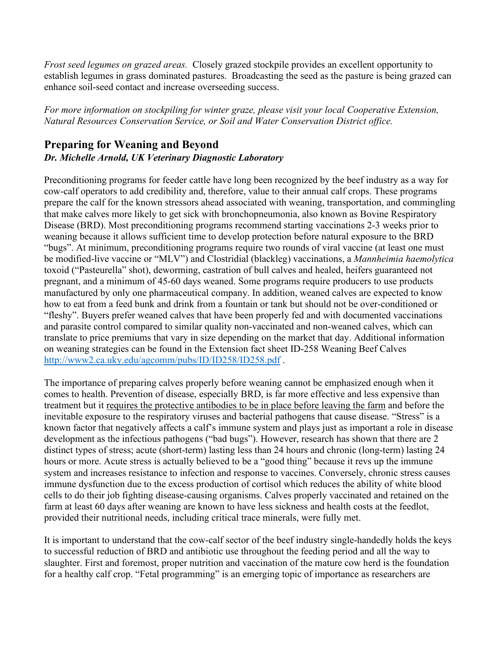*Frost seed legumes on grazed areas.* Closely grazed stockpile provides an excellent opportunity to establish legumes in grass dominated pastures. Broadcasting the seed as the pasture is being grazed can enhance soil-seed contact and increase overseeding success.

*For more information on stockpiling for winter graze, please visit your local Cooperative Extension, Natural Resources Conservation Service, or Soil and Water Conservation District office.*

# **Preparing for Weaning and Beyond**

## *Dr. Michelle Arnold, UK Veterinary Diagnostic Laboratory*

Preconditioning programs for feeder cattle have long been recognized by the beef industry as a way for cow-calf operators to add credibility and, therefore, value to their annual calf crops. These programs prepare the calf for the known stressors ahead associated with weaning, transportation, and commingling that make calves more likely to get sick with bronchopneumonia, also known as Bovine Respiratory Disease (BRD). Most preconditioning programs recommend starting vaccinations 2-3 weeks prior to weaning because it allows sufficient time to develop protection before natural exposure to the BRD "bugs". At minimum, preconditioning programs require two rounds of viral vaccine (at least one must be modified-live vaccine or "MLV") and Clostridial (blackleg) vaccinations, a *Mannheimia haemolytica*  toxoid ("Pasteurella" shot), deworming, castration of bull calves and healed, heifers guaranteed not pregnant, and a minimum of 45-60 days weaned. Some programs require producers to use products manufactured by only one pharmaceutical company. In addition, weaned calves are expected to know how to eat from a feed bunk and drink from a fountain or tank but should not be over-conditioned or "fleshy". Buyers prefer weaned calves that have been properly fed and with documented vaccinations and parasite control compared to similar quality non-vaccinated and non-weaned calves, which can translate to price premiums that vary in size depending on the market that day. Additional information on weaning strategies can be found in the Extension fact sheet ID-258 Weaning Beef Calves <http://www2.ca.uky.edu/agcomm/pubs/ID/ID258/ID258.pdf> .

The importance of preparing calves properly before weaning cannot be emphasized enough when it comes to health. Prevention of disease, especially BRD, is far more effective and less expensive than treatment but it requires the protective antibodies to be in place before leaving the farm and before the inevitable exposure to the respiratory viruses and bacterial pathogens that cause disease. "Stress" is a known factor that negatively affects a calf's immune system and plays just as important a role in disease development as the infectious pathogens ("bad bugs"). However, research has shown that there are 2 distinct types of stress; acute (short-term) lasting less than 24 hours and chronic (long-term) lasting 24 hours or more. Acute stress is actually believed to be a "good thing" because it revs up the immune system and increases resistance to infection and response to vaccines. Conversely, chronic stress causes immune dysfunction due to the excess production of cortisol which reduces the ability of white blood cells to do their job fighting disease-causing organisms. Calves properly vaccinated and retained on the farm at least 60 days after weaning are known to have less sickness and health costs at the feedlot, provided their nutritional needs, including critical trace minerals, were fully met.

It is important to understand that the cow-calf sector of the beef industry single-handedly holds the keys to successful reduction of BRD and antibiotic use throughout the feeding period and all the way to slaughter. First and foremost, proper nutrition and vaccination of the mature cow herd is the foundation for a healthy calf crop. "Fetal programming" is an emerging topic of importance as researchers are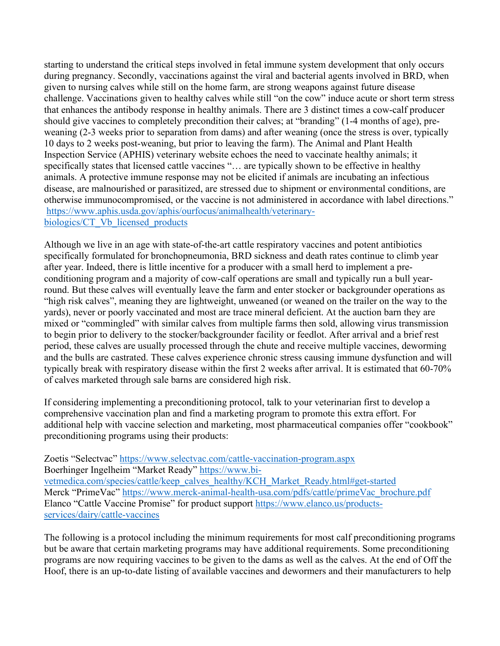starting to understand the critical steps involved in fetal immune system development that only occurs during pregnancy. Secondly, vaccinations against the viral and bacterial agents involved in BRD, when given to nursing calves while still on the home farm, are strong weapons against future disease challenge. Vaccinations given to healthy calves while still "on the cow" induce acute or short term stress that enhances the antibody response in healthy animals. There are 3 distinct times a cow-calf producer should give vaccines to completely precondition their calves; at "branding" (1-4 months of age), preweaning (2-3 weeks prior to separation from dams) and after weaning (once the stress is over, typically 10 days to 2 weeks post-weaning, but prior to leaving the farm). The Animal and Plant Health Inspection Service (APHIS) veterinary website echoes the need to vaccinate healthy animals; it specifically states that licensed cattle vaccines "... are typically shown to be effective in healthy animals. A protective immune response may not be elicited if animals are incubating an infectious disease, are malnourished or parasitized, are stressed due to shipment or environmental conditions, are otherwise immunocompromised, or the vaccine is not administered in accordance with label directions." [https://www.aphis.usda.gov/aphis/ourfocus/animalhealth/veterinary](https://www.aphis.usda.gov/aphis/ourfocus/animalhealth/veterinary-biologics/CT_Vb_licensed_products)[biologics/CT\\_Vb\\_licensed\\_products](https://www.aphis.usda.gov/aphis/ourfocus/animalhealth/veterinary-biologics/CT_Vb_licensed_products)

Although we live in an age with state-of-the-art cattle respiratory vaccines and potent antibiotics specifically formulated for bronchopneumonia, BRD sickness and death rates continue to climb year after year. Indeed, there is little incentive for a producer with a small herd to implement a preconditioning program and a majority of cow-calf operations are small and typically run a bull yearround. But these calves will eventually leave the farm and enter stocker or backgrounder operations as "high risk calves", meaning they are lightweight, unweaned (or weaned on the trailer on the way to the yards), never or poorly vaccinated and most are trace mineral deficient. At the auction barn they are mixed or "commingled" with similar calves from multiple farms then sold, allowing virus transmission to begin prior to delivery to the stocker/backgrounder facility or feedlot. After arrival and a brief rest period, these calves are usually processed through the chute and receive multiple vaccines, deworming and the bulls are castrated. These calves experience chronic stress causing immune dysfunction and will typically break with respiratory disease within the first 2 weeks after arrival. It is estimated that 60-70% of calves marketed through sale barns are considered high risk.

If considering implementing a preconditioning protocol, talk to your veterinarian first to develop a comprehensive vaccination plan and find a marketing program to promote this extra effort. For additional help with vaccine selection and marketing, most pharmaceutical companies offer "cookbook" preconditioning programs using their products:

Zoetis "Selectvac"<https://www.selectvac.com/cattle-vaccination-program.aspx> Boerhinger Ingelheim "Market Ready" [https://www.bi](https://www.bi-vetmedica.com/species/cattle/keep_calves_healthy/KCH_Market_Ready.html#get-started)[vetmedica.com/species/cattle/keep\\_calves\\_healthy/KCH\\_Market\\_Ready.html#get-started](https://www.bi-vetmedica.com/species/cattle/keep_calves_healthy/KCH_Market_Ready.html#get-started) Merck "PrimeVac" [https://www.merck-animal-health-usa.com/pdfs/cattle/primeVac\\_brochure.pdf](https://www.merck-animal-health-usa.com/pdfs/cattle/primeVac_brochure.pdf) Elanco "Cattle Vaccine Promise" for product support [https://www.elanco.us/products](https://www.elanco.us/products-services/dairy/cattle-vaccines)[services/dairy/cattle-vaccines](https://www.elanco.us/products-services/dairy/cattle-vaccines)

The following is a protocol including the minimum requirements for most calf preconditioning programs but be aware that certain marketing programs may have additional requirements. Some preconditioning programs are now requiring vaccines to be given to the dams as well as the calves. At the end of Off the Hoof, there is an up-to-date listing of available vaccines and dewormers and their manufacturers to help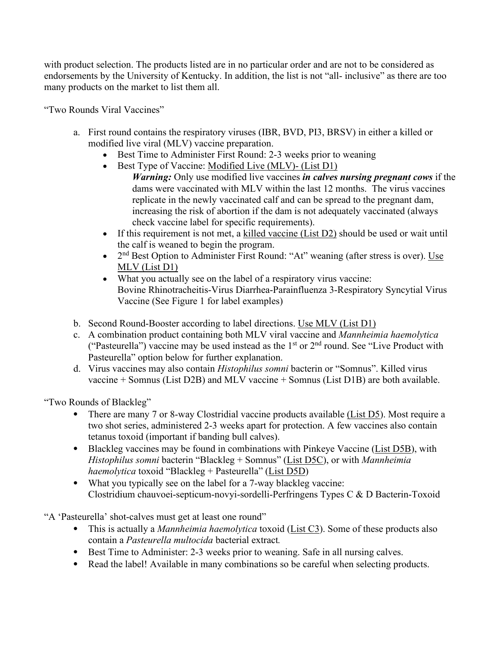with product selection. The products listed are in no particular order and are not to be considered as endorsements by the University of Kentucky. In addition, the list is not "all- inclusive" as there are too many products on the market to list them all.

"Two Rounds Viral Vaccines"

- a. First round contains the respiratory viruses (IBR, BVD, PI3, BRSV) in either a killed or modified live viral (MLV) vaccine preparation.
	- Best Time to Administer First Round: 2-3 weeks prior to weaning
	- Best Type of Vaccine: Modified Live (MLV)- (List D1) *Warning:* Only use modified live vaccines *in calves nursing pregnant cows* if the dams were vaccinated with MLV within the last 12 months. The virus vaccines replicate in the newly vaccinated calf and can be spread to the pregnant dam, increasing the risk of abortion if the dam is not adequately vaccinated (always check vaccine label for specific requirements).
	- If this requirement is not met, a killed vaccine (List D2) should be used or wait until the calf is weaned to begin the program.
	- $2<sup>nd</sup> Best Option to Administer First Round: "At" weaning (after stress is over). Use$ MLV (List D1)
	- What you actually see on the label of a respiratory virus vaccine: Bovine Rhinotracheitis-Virus Diarrhea-Parainfluenza 3-Respiratory Syncytial Virus Vaccine (See Figure 1 for label examples)
- b. Second Round-Booster according to label directions. Use MLV (List D1)
- c. A combination product containing both MLV viral vaccine and *Mannheimia haemolytica*  ("Pasteurella") vaccine may be used instead as the  $1<sup>st</sup>$  or  $2<sup>nd</sup>$  round. See "Live Product with Pasteurella" option below for further explanation.
- d. Virus vaccines may also contain *Histophilus somni* bacterin or "Somnus". Killed virus vaccine + Somnus (List D2B) and MLV vaccine + Somnus (List D1B) are both available.

"Two Rounds of Blackleg"

- There are many 7 or 8-way Clostridial vaccine products available (List D5). Most require a two shot series, administered 2-3 weeks apart for protection. A few vaccines also contain tetanus toxoid (important if banding bull calves).
- Blackleg vaccines may be found in combinations with Pinkeye Vaccine (List D5B), with *Histophilus somni* bacterin "Blackleg + Somnus" (List D5C), or with *Mannheimia haemolytica* toxoid "Blackleg + Pasteurella" (List D5D)
- What you typically see on the label for a 7-way blackleg vaccine: Clostridium chauvoei-septicum-novyi-sordelli-Perfringens Types C & D Bacterin-Toxoid

"A 'Pasteurella' shot-calves must get at least one round"

- This is actually a *Mannheimia haemolytica* toxoid (List C3). Some of these products also contain a *Pasteurella multocida* bacterial extract*.*
- Best Time to Administer: 2-3 weeks prior to weaning. Safe in all nursing calves.
- Read the label! Available in many combinations so be careful when selecting products.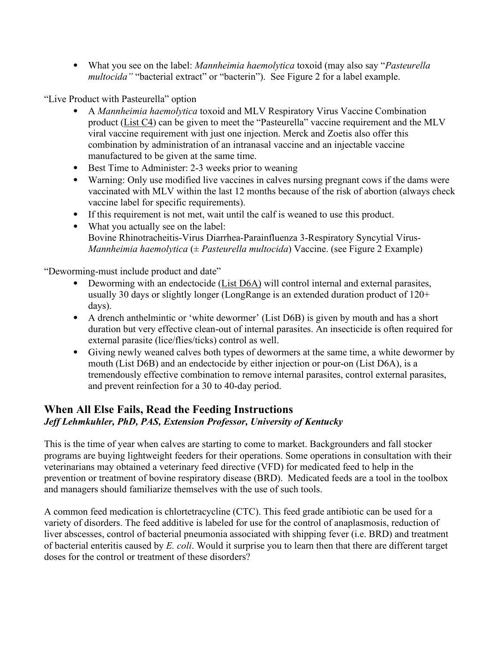• What you see on the label: *Mannheimia haemolytica* toxoid (may also say "*Pasteurella multocida"* "bacterial extract" or "bacterin"). See Figure 2 for a label example.

"Live Product with Pasteurella" option

- A *Mannheimia haemolytica* toxoid and MLV Respiratory Virus Vaccine Combination product (List C4) can be given to meet the "Pasteurella" vaccine requirement and the MLV viral vaccine requirement with just one injection. Merck and Zoetis also offer this combination by administration of an intranasal vaccine and an injectable vaccine manufactured to be given at the same time.
- Best Time to Administer: 2-3 weeks prior to weaning
- Warning: Only use modified live vaccines in calves nursing pregnant cows if the dams were vaccinated with MLV within the last 12 months because of the risk of abortion (always check vaccine label for specific requirements).
- If this requirement is not met, wait until the calf is weaned to use this product.
- What you actually see on the label: Bovine Rhinotracheitis-Virus Diarrhea-Parainfluenza 3-Respiratory Syncytial Virus-*Mannheimia haemolytica* (± *Pasteurella multocida*) Vaccine. (see Figure 2 Example)

"Deworming-must include product and date"

- Deworming with an endectocide (List D6A) will control internal and external parasites, usually 30 days or slightly longer (LongRange is an extended duration product of 120+ days).
- A drench anthelmintic or 'white dewormer' (List D6B) is given by mouth and has a short duration but very effective clean-out of internal parasites. An insecticide is often required for external parasite (lice/flies/ticks) control as well.
- Giving newly weaned calves both types of dewormers at the same time, a white dewormer by mouth (List D6B) and an endectocide by either injection or pour-on (List D6A), is a tremendously effective combination to remove internal parasites, control external parasites, and prevent reinfection for a 30 to 40-day period.

## **When All Else Fails, Read the Feeding Instructions** *Jeff Lehmkuhler, PhD, PAS, Extension Professor, University of Kentucky*

This is the time of year when calves are starting to come to market. Backgrounders and fall stocker programs are buying lightweight feeders for their operations. Some operations in consultation with their veterinarians may obtained a veterinary feed directive (VFD) for medicated feed to help in the prevention or treatment of bovine respiratory disease (BRD). Medicated feeds are a tool in the toolbox and managers should familiarize themselves with the use of such tools.

A common feed medication is chlortetracycline (CTC). This feed grade antibiotic can be used for a variety of disorders. The feed additive is labeled for use for the control of anaplasmosis, reduction of liver abscesses, control of bacterial pneumonia associated with shipping fever (i.e. BRD) and treatment of bacterial enteritis caused by *E. coli*. Would it surprise you to learn then that there are different target doses for the control or treatment of these disorders?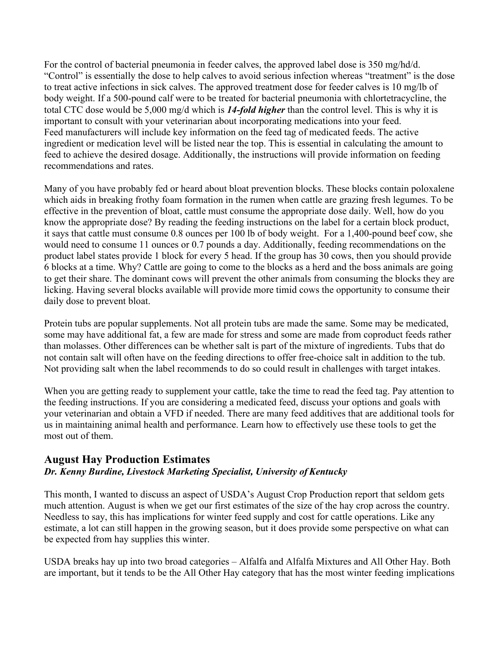For the control of bacterial pneumonia in feeder calves, the approved label dose is 350 mg/hd/d. "Control" is essentially the dose to help calves to avoid serious infection whereas "treatment" is the dose to treat active infections in sick calves. The approved treatment dose for feeder calves is 10 mg/lb of body weight. If a 500-pound calf were to be treated for bacterial pneumonia with chlortetracycline, the total CTC dose would be 5,000 mg/d which is *14-fold higher* than the control level. This is why it is important to consult with your veterinarian about incorporating medications into your feed. Feed manufacturers will include key information on the feed tag of medicated feeds. The active ingredient or medication level will be listed near the top. This is essential in calculating the amount to feed to achieve the desired dosage. Additionally, the instructions will provide information on feeding recommendations and rates.

Many of you have probably fed or heard about bloat prevention blocks. These blocks contain poloxalene which aids in breaking frothy foam formation in the rumen when cattle are grazing fresh legumes. To be effective in the prevention of bloat, cattle must consume the appropriate dose daily. Well, how do you know the appropriate dose? By reading the feeding instructions on the label for a certain block product, it says that cattle must consume 0.8 ounces per 100 lb of body weight. For a 1,400-pound beef cow, she would need to consume 11 ounces or 0.7 pounds a day. Additionally, feeding recommendations on the product label states provide 1 block for every 5 head. If the group has 30 cows, then you should provide 6 blocks at a time. Why? Cattle are going to come to the blocks as a herd and the boss animals are going to get their share. The dominant cows will prevent the other animals from consuming the blocks they are licking. Having several blocks available will provide more timid cows the opportunity to consume their daily dose to prevent bloat.

Protein tubs are popular supplements. Not all protein tubs are made the same. Some may be medicated, some may have additional fat, a few are made for stress and some are made from coproduct feeds rather than molasses. Other differences can be whether salt is part of the mixture of ingredients. Tubs that do not contain salt will often have on the feeding directions to offer free-choice salt in addition to the tub. Not providing salt when the label recommends to do so could result in challenges with target intakes.

When you are getting ready to supplement your cattle, take the time to read the feed tag. Pay attention to the feeding instructions. If you are considering a medicated feed, discuss your options and goals with your veterinarian and obtain a VFD if needed. There are many feed additives that are additional tools for us in maintaining animal health and performance. Learn how to effectively use these tools to get the most out of them.

# **August Hay Production Estimates**

## *Dr. Kenny Burdine, Livestock Marketing Specialist, University of Kentucky*

This month, I wanted to discuss an aspect of USDA's August Crop Production report that seldom gets much attention. August is when we get our first estimates of the size of the hay crop across the country. Needless to say, this has implications for winter feed supply and cost for cattle operations. Like any estimate, a lot can still happen in the growing season, but it does provide some perspective on what can be expected from hay supplies this winter.

USDA breaks hay up into two broad categories – Alfalfa and Alfalfa Mixtures and All Other Hay. Both are important, but it tends to be the All Other Hay category that has the most winter feeding implications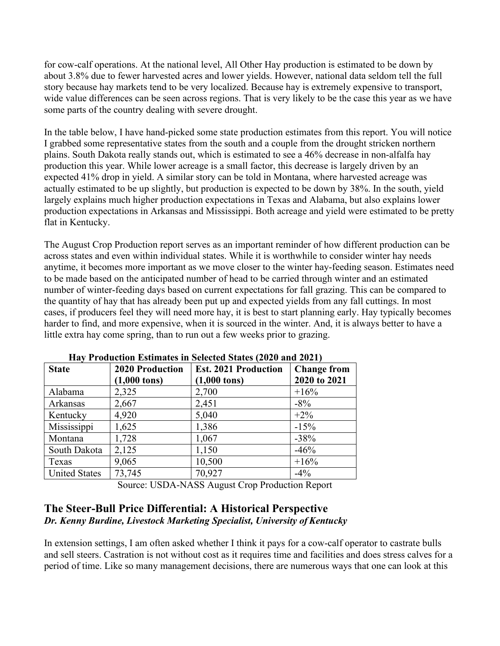for cow-calf operations. At the national level, All Other Hay production is estimated to be down by about 3.8% due to fewer harvested acres and lower yields. However, national data seldom tell the full story because hay markets tend to be very localized. Because hay is extremely expensive to transport, wide value differences can be seen across regions. That is very likely to be the case this year as we have some parts of the country dealing with severe drought.

In the table below, I have hand-picked some state production estimates from this report. You will notice I grabbed some representative states from the south and a couple from the drought stricken northern plains. South Dakota really stands out, which is estimated to see a 46% decrease in non-alfalfa hay production this year. While lower acreage is a small factor, this decrease is largely driven by an expected 41% drop in yield. A similar story can be told in Montana, where harvested acreage was actually estimated to be up slightly, but production is expected to be down by 38%. In the south, yield largely explains much higher production expectations in Texas and Alabama, but also explains lower production expectations in Arkansas and Mississippi. Both acreage and yield were estimated to be pretty flat in Kentucky.

The August Crop Production report serves as an important reminder of how different production can be across states and even within individual states. While it is worthwhile to consider winter hay needs anytime, it becomes more important as we move closer to the winter hay-feeding season. Estimates need to be made based on the anticipated number of head to be carried through winter and an estimated number of winter-feeding days based on current expectations for fall grazing. This can be compared to the quantity of hay that has already been put up and expected yields from any fall cuttings. In most cases, if producers feel they will need more hay, it is best to start planning early. Hay typically becomes harder to find, and more expensive, when it is sourced in the winter. And, it is always better to have a little extra hay come spring, than to run out a few weeks prior to grazing.

| THE TERM CHUILD INTERNATIONAL SURVEY CHANGE IN THE LOCAL PROPERTY |                                                  |                                                       |                                    |  |  |
|-------------------------------------------------------------------|--------------------------------------------------|-------------------------------------------------------|------------------------------------|--|--|
| <b>State</b>                                                      | <b>2020 Production</b><br>$(1,000 \text{ tons})$ | <b>Est. 2021 Production</b><br>$(1,000 \text{ tons})$ | <b>Change from</b><br>2020 to 2021 |  |  |
| Alabama                                                           | 2,325                                            | 2,700                                                 | $+16%$                             |  |  |
| Arkansas                                                          | 2,667                                            | 2,451                                                 | $-8\%$                             |  |  |
| Kentucky                                                          | 4,920                                            | 5,040                                                 | $+2\%$                             |  |  |
| Mississippi                                                       | 1,625                                            | 1,386                                                 | $-15%$                             |  |  |
| Montana                                                           | 1,728                                            | 1,067                                                 | $-38%$                             |  |  |
| South Dakota                                                      | 2,125                                            | 1,150                                                 | $-46%$                             |  |  |
| Texas                                                             | 9,065                                            | 10,500                                                | $+16%$                             |  |  |
| <b>United States</b>                                              | 73,745                                           | 70,927                                                | $-4\%$                             |  |  |

**Hay Production Estimates in Selected States (2020 and 2021)**

Source: USDA-NASS August Crop Production Report

## **The Steer-Bull Price Differential: A Historical Perspective** *Dr. Kenny Burdine, Livestock Marketing Specialist, University of Kentucky*

In extension settings, I am often asked whether I think it pays for a cow-calf operator to castrate bulls and sell steers. Castration is not without cost as it requires time and facilities and does stress calves for a period of time. Like so many management decisions, there are numerous ways that one can look at this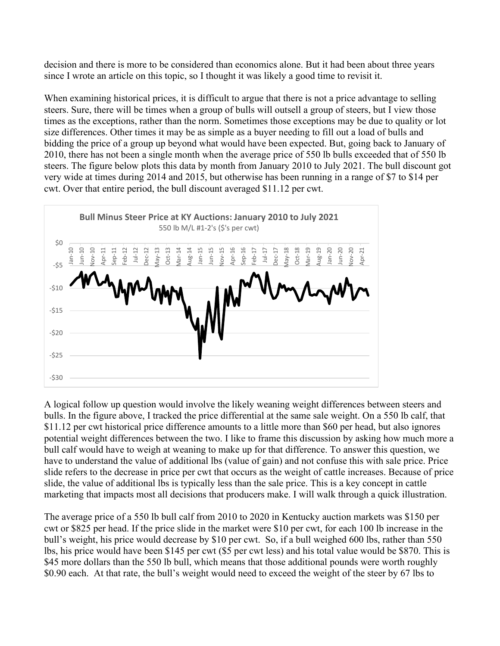decision and there is more to be considered than economics alone. But it had been about three years since I wrote an article on this topic, so I thought it was likely a good time to revisit it.

When examining historical prices, it is difficult to argue that there is not a price advantage to selling steers. Sure, there will be times when a group of bulls will outsell a group of steers, but I view those times as the exceptions, rather than the norm. Sometimes those exceptions may be due to quality or lot size differences. Other times it may be as simple as a buyer needing to fill out a load of bulls and bidding the price of a group up beyond what would have been expected. But, going back to January of 2010, there has not been a single month when the average price of 550 lb bulls exceeded that of 550 lb steers. The figure below plots this data by month from January 2010 to July 2021. The bull discount got very wide at times during 2014 and 2015, but otherwise has been running in a range of \$7 to \$14 per cwt. Over that entire period, the bull discount averaged \$11.12 per cwt.



A logical follow up question would involve the likely weaning weight differences between steers and bulls. In the figure above, I tracked the price differential at the same sale weight. On a 550 lb calf, that \$11.12 per cwt historical price difference amounts to a little more than \$60 per head, but also ignores potential weight differences between the two. I like to frame this discussion by asking how much more a bull calf would have to weigh at weaning to make up for that difference. To answer this question, we have to understand the value of additional lbs (value of gain) and not confuse this with sale price. Price slide refers to the decrease in price per cwt that occurs as the weight of cattle increases. Because of price slide, the value of additional lbs is typically less than the sale price. This is a key concept in cattle marketing that impacts most all decisions that producers make. I will walk through a quick illustration.

The average price of a 550 lb bull calf from 2010 to 2020 in Kentucky auction markets was \$150 per cwt or \$825 per head. If the price slide in the market were \$10 per cwt, for each 100 lb increase in the bull's weight, his price would decrease by \$10 per cwt. So, if a bull weighed 600 lbs, rather than 550 lbs, his price would have been \$145 per cwt (\$5 per cwt less) and his total value would be \$870. This is \$45 more dollars than the 550 lb bull, which means that those additional pounds were worth roughly \$0.90 each. At that rate, the bull's weight would need to exceed the weight of the steer by 67 lbs to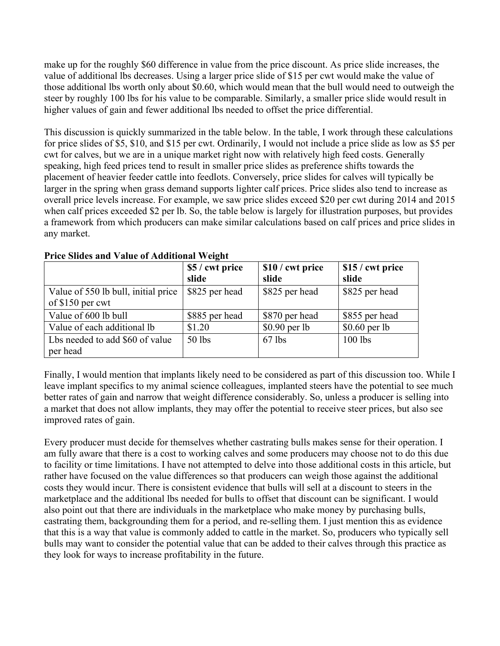make up for the roughly \$60 difference in value from the price discount. As price slide increases, the value of additional lbs decreases. Using a larger price slide of \$15 per cwt would make the value of those additional lbs worth only about \$0.60, which would mean that the bull would need to outweigh the steer by roughly 100 lbs for his value to be comparable. Similarly, a smaller price slide would result in higher values of gain and fewer additional lbs needed to offset the price differential.

This discussion is quickly summarized in the table below. In the table, I work through these calculations for price slides of \$5, \$10, and \$15 per cwt. Ordinarily, I would not include a price slide as low as \$5 per cwt for calves, but we are in a unique market right now with relatively high feed costs. Generally speaking, high feed prices tend to result in smaller price slides as preference shifts towards the placement of heavier feeder cattle into feedlots. Conversely, price slides for calves will typically be larger in the spring when grass demand supports lighter calf prices. Price slides also tend to increase as overall price levels increase. For example, we saw price slides exceed \$20 per cwt during 2014 and 2015 when calf prices exceeded \$2 per lb. So, the table below is largely for illustration purposes, but provides a framework from which producers can make similar calculations based on calf prices and price slides in any market.

|                                                         | \$5 / cwt price<br>slide | \$10 / cwt price<br>slide | \$15 / cwt price<br>slide |
|---------------------------------------------------------|--------------------------|---------------------------|---------------------------|
| Value of 550 lb bull, initial price<br>of \$150 per cwt | \$825 per head           | \$825 per head            | \$825 per head            |
| Value of 600 lb bull                                    | \$885 per head           | \$870 per head            | \$855 per head            |
| Value of each additional lb                             | \$1.20                   | $$0.90$ per lb            | $$0.60$ per lb            |
| Lbs needed to add \$60 of value<br>per head             | 50 lbs                   | $67$ lbs                  | $100$ lbs                 |

**Price Slides and Value of Additional Weight**

Finally, I would mention that implants likely need to be considered as part of this discussion too. While I leave implant specifics to my animal science colleagues, implanted steers have the potential to see much better rates of gain and narrow that weight difference considerably. So, unless a producer is selling into a market that does not allow implants, they may offer the potential to receive steer prices, but also see improved rates of gain.

Every producer must decide for themselves whether castrating bulls makes sense for their operation. I am fully aware that there is a cost to working calves and some producers may choose not to do this due to facility or time limitations. I have not attempted to delve into those additional costs in this article, but rather have focused on the value differences so that producers can weigh those against the additional costs they would incur. There is consistent evidence that bulls will sell at a discount to steers in the marketplace and the additional lbs needed for bulls to offset that discount can be significant. I would also point out that there are individuals in the marketplace who make money by purchasing bulls, castrating them, backgrounding them for a period, and re-selling them. I just mention this as evidence that this is a way that value is commonly added to cattle in the market. So, producers who typically sell bulls may want to consider the potential value that can be added to their calves through this practice as they look for ways to increase profitability in the future.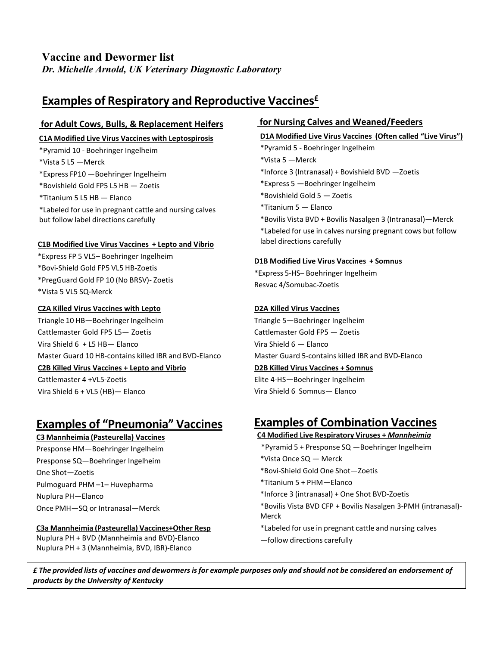## **Vaccine and Dewormer list**

*Dr. Michelle Arnold, UK Veterinary Diagnostic Laboratory*

## **Examples of Respiratory and Reproductive Vaccines£**

#### **for Adult Cows, Bulls, & Replacement Heifers**

#### **C1A Modified Live Virus Vaccines with Leptospirosis**

\*Pyramid 10 - Boehringer Ingelheim

\*Vista 5 L5 —Merck

\*Express FP10 —Boehringer Ingelheim

\*Bovishield Gold FP5 L5 HB — Zoetis

\*Titanium 5 L5 HB — Elanco

\*Labeled for use in pregnant cattle and nursing calves but follow label directions carefully

#### **C1B Modified Live Virus Vaccines + Lepto and Vibrio**

\*Express FP 5 VL5– Boehringer Ingelheim

- \*Bovi-Shield Gold FP5 VL5 HB-Zoetis
- \*PregGuard Gold FP 10 (No BRSV)- Zoetis

\*Vista 5 VL5 SQ-Merck

#### **C2A Killed Virus Vaccines with Lepto**

Triangle 10 HB—Boehringer Ingelheim Cattlemaster Gold FP5 L5— Zoetis Vira Shield 6 + L5 HB— Elanco Master Guard 10 HB-contains killed IBR and BVD-Elanco

#### **C2B Killed Virus Vaccines + Lepto and Vibrio**

Cattlemaster 4 +VL5-Zoetis Vira Shield 6 + VL5 (HB)— Elanco

# **Examples of "Pneumonia" Vaccines**

**C3 Mannheimia (Pasteurella) Vaccines** Presponse HM—Boehringer Ingelheim Presponse SQ—Boehringer Ingelheim One Shot—Zoetis Pulmoguard PHM –1– Huvepharma Nuplura PH—Elanco Once PMH—SQ or Intranasal—Merck

#### **C3a Mannheimia (Pasteurella) Vaccines+Other Resp**

Nuplura PH + BVD (Mannheimia and BVD)-Elanco Nuplura PH + 3 (Mannheimia, BVD, IBR)-Elanco

#### **for Nursing Calves and Weaned/Feeders**

#### **D1A Modified Live Virus Vaccines (Often called "Live Virus")**

\*Pyramid 5 - Boehringer Ingelheim

- \*Vista 5 —Merck \*Inforce 3 (Intranasal) + Bovishield BVD —Zoetis
- \*Express 5 —Boehringer Ingelheim
- \*Bovishield Gold 5 Zoetis
- \*Titanium 5 Elanco

\*Bovilis Vista BVD + Bovilis Nasalgen 3 (Intranasal)—Merck \*Labeled for use in calves nursing pregnant cows but follow label directions carefully

#### **D1B Modified Live Virus Vaccines + Somnus**

\*Express 5-HS– Boehringer Ingelheim Resvac 4/Somubac-Zoetis

#### **D2A Killed Virus Vaccines**

Triangle 5—Boehringer Ingelheim Cattlemaster Gold FP5 — Zoetis Vira Shield 6 — Elanco Master Guard 5-contains killed IBR and BVD-Elanco **D2B Killed Virus Vaccines + Somnus**

Elite 4-HS—Boehringer Ingelheim Vira Shield 6 Somnus— Elanco

# **Examples of Combination Vaccines**

#### **C4 Modified Live Respiratory Viruses +** *Mannheimia*

- \*Pyramid 5 + Presponse SQ —Boehringer Ingelheim
- \*Vista Once SQ Merck
- \*Bovi-Shield Gold One Shot—Zoetis
- \*Titanium 5 + PHM—Elanco
- \*Inforce 3 (intranasal) + One Shot BVD-Zoetis
- \*Bovilis Vista BVD CFP + Bovilis Nasalgen 3-PMH (intranasal)- Merck
- \*Labeled for use in pregnant cattle and nursing calves —follow directions carefully

£ The provided lists of vaccines and dewormers is for example purposes only and should not be considered an endorsement of *products by the University of Kentucky*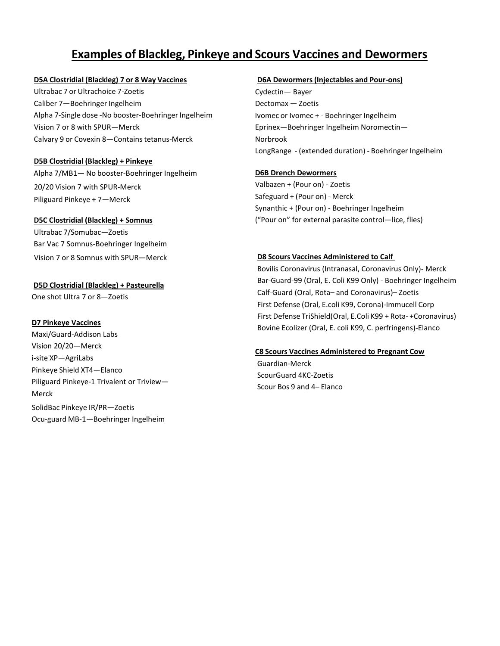# **Examples of Blackleg, Pinkeye and Scours Vaccines and Dewormers**

#### **D5A Clostridial (Blackleg) 7 or 8 Way Vaccines**

Ultrabac 7 or Ultrachoice 7-Zoetis Caliber 7—Boehringer Ingelheim Alpha 7-Single dose -No booster-Boehringer Ingelheim Vision 7 or 8 with SPUR—Merck Calvary 9 or Covexin 8—Containstetanus-Merck

#### **D5B Clostridial (Blackleg) + Pinkeye**

Alpha 7/MB1— No booster-Boehringer Ingelheim 20/20 Vision 7 with SPUR-Merck Piliguard Pinkeye + 7—Merck

#### **D5C Clostridial (Blackleg) + Somnus**

Ultrabac 7/Somubac—Zoetis Bar Vac 7 Somnus-Boehringer Ingelheim Vision 7 or 8 Somnus with SPUR—Merck

#### **D5D Clostridial (Blackleg) + Pasteurella**

One shot Ultra 7 or 8—Zoetis

#### **D7 Pinkeye Vaccines**

Maxi/Guard-Addison Labs Vision 20/20—Merck i-site XP—AgriLabs Pinkeye Shield XT4—Elanco Piliguard Pinkeye-1 Trivalent or Triview— Merck SolidBac Pinkeye IR/PR—Zoetis Ocu-guard MB-1—Boehringer Ingelheim

#### **D6A Dewormers(Injectables and Pour-ons)**

Cydectin— Bayer Dectomax — Zoetis Ivomec or Ivomec + - Boehringer Ingelheim Eprinex—Boehringer Ingelheim Noromectin— Norbrook LongRange - (extended duration) - Boehringer Ingelheim

#### **D6B Drench Dewormers**

Valbazen + (Pour on) - Zoetis Safeguard + (Pour on) - Merck Synanthic + (Pour on) - Boehringer Ingelheim ("Pour on" for external parasite control—lice, flies)

#### **D8 Scours Vaccines Administered to Calf**

Bovilis Coronavirus (Intranasal, Coronavirus Only)- Merck Bar-Guard-99 (Oral, E. Coli K99 Only) - Boehringer Ingelheim Calf-Guard (Oral, Rota– and Coronavirus)– Zoetis First Defense (Oral, E.coli K99, Corona)-Immucell Corp First Defense TriShield(Oral, E.Coli K99 + Rota- +Coronavirus) Bovine Ecolizer (Oral, E. coli K99, C. perfringens)-Elanco

#### **C8 Scours Vaccines Administered to Pregnant Cow**

Guardian-Merck ScourGuard 4KC-Zoetis Scour Bos 9 and 4– Elanco